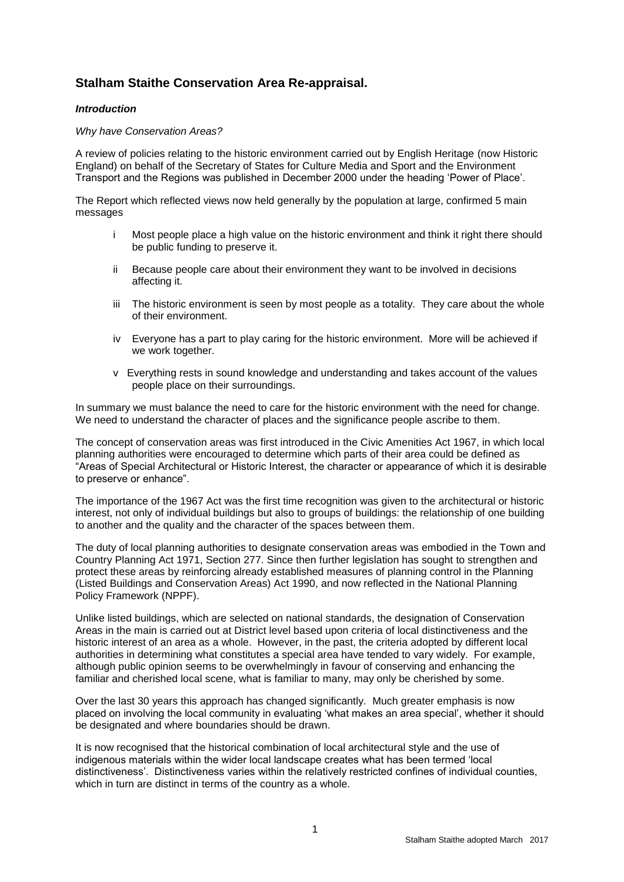# **Stalham Staithe Conservation Area Re-appraisal.**

## *Introduction*

#### *Why have Conservation Areas?*

A review of policies relating to the historic environment carried out by English Heritage (now Historic England) on behalf of the Secretary of States for Culture Media and Sport and the Environment Transport and the Regions was published in December 2000 under the heading 'Power of Place'.

The Report which reflected views now held generally by the population at large, confirmed 5 main messages

- i Most people place a high value on the historic environment and think it right there should be public funding to preserve it.
- ii Because people care about their environment they want to be involved in decisions affecting it.
- iii The historic environment is seen by most people as a totality. They care about the whole of their environment.
- iv Everyone has a part to play caring for the historic environment. More will be achieved if we work together.
- v Everything rests in sound knowledge and understanding and takes account of the values people place on their surroundings.

In summary we must balance the need to care for the historic environment with the need for change. We need to understand the character of places and the significance people ascribe to them.

The concept of conservation areas was first introduced in the Civic Amenities Act 1967, in which local planning authorities were encouraged to determine which parts of their area could be defined as "Areas of Special Architectural or Historic Interest, the character or appearance of which it is desirable to preserve or enhance".

The importance of the 1967 Act was the first time recognition was given to the architectural or historic interest, not only of individual buildings but also to groups of buildings: the relationship of one building to another and the quality and the character of the spaces between them.

The duty of local planning authorities to designate conservation areas was embodied in the Town and Country Planning Act 1971, Section 277. Since then further legislation has sought to strengthen and protect these areas by reinforcing already established measures of planning control in the Planning (Listed Buildings and Conservation Areas) Act 1990, and now reflected in the National Planning Policy Framework (NPPF).

Unlike listed buildings, which are selected on national standards, the designation of Conservation Areas in the main is carried out at District level based upon criteria of local distinctiveness and the historic interest of an area as a whole. However, in the past, the criteria adopted by different local authorities in determining what constitutes a special area have tended to vary widely. For example, although public opinion seems to be overwhelmingly in favour of conserving and enhancing the familiar and cherished local scene, what is familiar to many, may only be cherished by some.

Over the last 30 years this approach has changed significantly. Much greater emphasis is now placed on involving the local community in evaluating 'what makes an area special', whether it should be designated and where boundaries should be drawn.

It is now recognised that the historical combination of local architectural style and the use of indigenous materials within the wider local landscape creates what has been termed 'local distinctiveness'. Distinctiveness varies within the relatively restricted confines of individual counties, which in turn are distinct in terms of the country as a whole.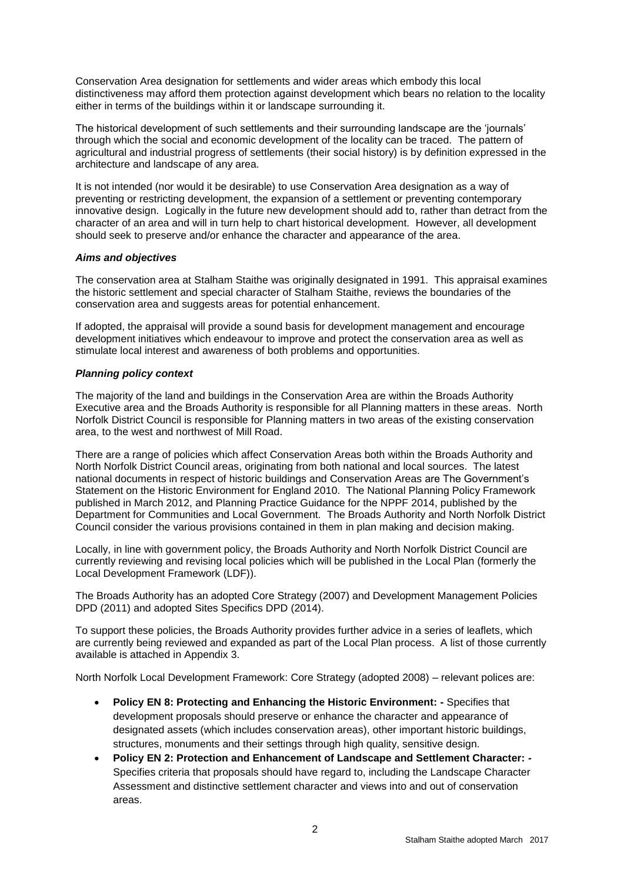Conservation Area designation for settlements and wider areas which embody this local distinctiveness may afford them protection against development which bears no relation to the locality either in terms of the buildings within it or landscape surrounding it.

The historical development of such settlements and their surrounding landscape are the 'journals' through which the social and economic development of the locality can be traced. The pattern of agricultural and industrial progress of settlements (their social history) is by definition expressed in the architecture and landscape of any area.

It is not intended (nor would it be desirable) to use Conservation Area designation as a way of preventing or restricting development, the expansion of a settlement or preventing contemporary innovative design. Logically in the future new development should add to, rather than detract from the character of an area and will in turn help to chart historical development. However, all development should seek to preserve and/or enhance the character and appearance of the area.

#### *Aims and objectives*

The conservation area at Stalham Staithe was originally designated in 1991. This appraisal examines the historic settlement and special character of Stalham Staithe, reviews the boundaries of the conservation area and suggests areas for potential enhancement.

If adopted, the appraisal will provide a sound basis for development management and encourage development initiatives which endeavour to improve and protect the conservation area as well as stimulate local interest and awareness of both problems and opportunities.

## *Planning policy context*

The majority of the land and buildings in the Conservation Area are within the Broads Authority Executive area and the Broads Authority is responsible for all Planning matters in these areas. North Norfolk District Council is responsible for Planning matters in two areas of the existing conservation area, to the west and northwest of Mill Road.

There are a range of policies which affect Conservation Areas both within the Broads Authority and North Norfolk District Council areas, originating from both national and local sources. The latest national documents in respect of historic buildings and Conservation Areas are The Government's Statement on the Historic Environment for England 2010. The National Planning Policy Framework published in March 2012, and Planning Practice Guidance for the NPPF 2014, published by the Department for Communities and Local Government. The Broads Authority and North Norfolk District Council consider the various provisions contained in them in plan making and decision making.

Locally, in line with government policy, the Broads Authority and North Norfolk District Council are currently reviewing and revising local policies which will be published in the Local Plan (formerly the Local Development Framework (LDF)).

The Broads Authority has an adopted Core Strategy (2007) and Development Management Policies DPD (2011) and adopted Sites Specifics DPD (2014).

To support these policies, the Broads Authority provides further advice in a series of leaflets, which are currently being reviewed and expanded as part of the Local Plan process. A list of those currently available is attached in Appendix 3.

North Norfolk Local Development Framework: Core Strategy (adopted 2008) – relevant polices are:

- **Policy EN 8: Protecting and Enhancing the Historic Environment: -** Specifies that development proposals should preserve or enhance the character and appearance of designated assets (which includes conservation areas), other important historic buildings, structures, monuments and their settings through high quality, sensitive design.
- **Policy EN 2: Protection and Enhancement of Landscape and Settlement Character:** *-* Specifies criteria that proposals should have regard to, including the Landscape Character Assessment and distinctive settlement character and views into and out of conservation areas.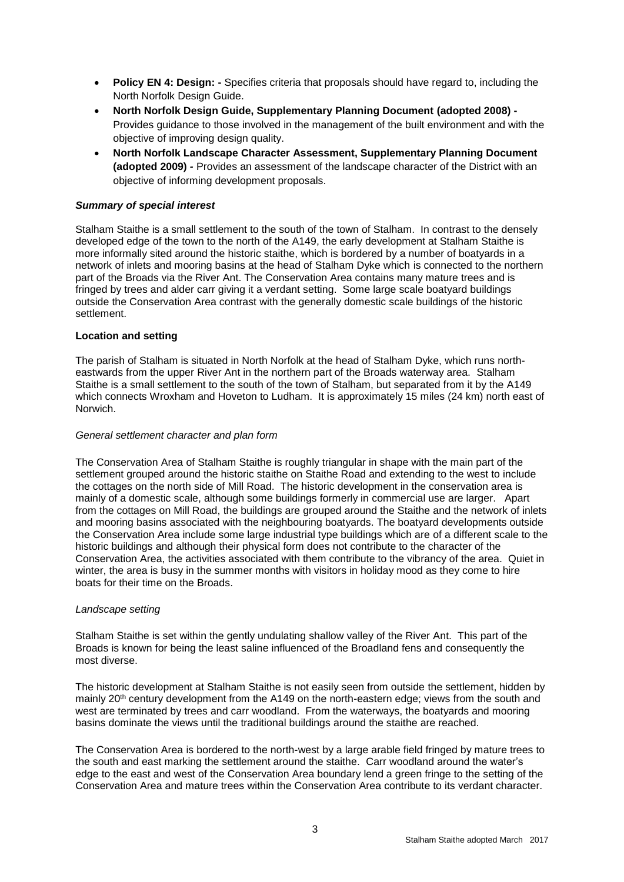- **Policy EN 4: Design:** Specifies criteria that proposals should have regard to, including the North Norfolk Design Guide.
- **North Norfolk Design Guide, Supplementary Planning Document (adopted 2008) -** Provides guidance to those involved in the management of the built environment and with the objective of improving design quality.
- **North Norfolk Landscape Character Assessment, Supplementary Planning Document (adopted 2009)** *-* Provides an assessment of the landscape character of the District with an objective of informing development proposals.

## *Summary of special interest*

Stalham Staithe is a small settlement to the south of the town of Stalham. In contrast to the densely developed edge of the town to the north of the A149, the early development at Stalham Staithe is more informally sited around the historic staithe, which is bordered by a number of boatyards in a network of inlets and mooring basins at the head of Stalham Dyke which is connected to the northern part of the Broads via the River Ant. The Conservation Area contains many mature trees and is fringed by trees and alder carr giving it a verdant setting. Some large scale boatyard buildings outside the Conservation Area contrast with the generally domestic scale buildings of the historic settlement.

#### **Location and setting**

The parish of Stalham is situated in North Norfolk at the head of Stalham Dyke, which runs northeastwards from the upper River Ant in the northern part of the Broads waterway area. Stalham Staithe is a small settlement to the south of the town of Stalham, but separated from it by the A149 which connects Wroxham and Hoveton to Ludham. It is approximately 15 miles (24 km) north east of Norwich.

#### *General settlement character and plan form*

The Conservation Area of Stalham Staithe is roughly triangular in shape with the main part of the settlement grouped around the historic staithe on Staithe Road and extending to the west to include the cottages on the north side of Mill Road. The historic development in the conservation area is mainly of a domestic scale, although some buildings formerly in commercial use are larger. Apart from the cottages on Mill Road, the buildings are grouped around the Staithe and the network of inlets and mooring basins associated with the neighbouring boatyards. The boatyard developments outside the Conservation Area include some large industrial type buildings which are of a different scale to the historic buildings and although their physical form does not contribute to the character of the Conservation Area, the activities associated with them contribute to the vibrancy of the area. Quiet in winter, the area is busy in the summer months with visitors in holiday mood as they come to hire boats for their time on the Broads.

#### *Landscape setting*

Stalham Staithe is set within the gently undulating shallow valley of the River Ant. This part of the Broads is known for being the least saline influenced of the Broadland fens and consequently the most diverse.

The historic development at Stalham Staithe is not easily seen from outside the settlement, hidden by mainly 20<sup>th</sup> century development from the A149 on the north-eastern edge; views from the south and west are terminated by trees and carr woodland. From the waterways, the boatyards and mooring basins dominate the views until the traditional buildings around the staithe are reached.

The Conservation Area is bordered to the north-west by a large arable field fringed by mature trees to the south and east marking the settlement around the staithe. Carr woodland around the water's edge to the east and west of the Conservation Area boundary lend a green fringe to the setting of the Conservation Area and mature trees within the Conservation Area contribute to its verdant character.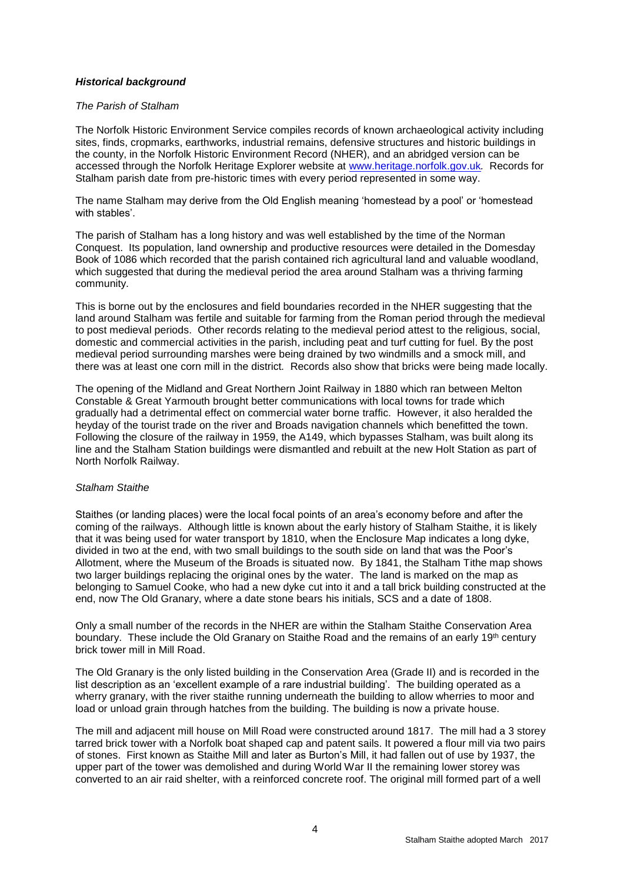## *Historical background*

#### *The Parish of Stalham*

The Norfolk Historic Environment Service compiles records of known archaeological activity including sites, finds, cropmarks, earthworks, industrial remains, defensive structures and historic buildings in the county, in the Norfolk Historic Environment Record (NHER), and an abridged version can be accessed through the Norfolk Heritage Explorer website at [www.heritage.norfolk.gov.uk](http://www.heritage.norfolk.gov.uk/)*.* Records for Stalham parish date from pre-historic times with every period represented in some way.

The name Stalham may derive from the Old English meaning 'homestead by a pool' or 'homestead with stables'.

The parish of Stalham has a long history and was well established by the time of the Norman Conquest. Its population, land ownership and productive resources were detailed in the Domesday Book of 1086 which recorded that the parish contained rich agricultural land and valuable woodland, which suggested that during the medieval period the area around Stalham was a thriving farming community.

This is borne out by the enclosures and field boundaries recorded in the NHER suggesting that the land around Stalham was fertile and suitable for farming from the Roman period through the medieval to post medieval periods. Other records relating to the medieval period attest to the religious, social, domestic and commercial activities in the parish, including peat and turf cutting for fuel. By the post medieval period surrounding marshes were being drained by two windmills and a smock mill, and there was at least one corn mill in the district*.* Records also show that bricks were being made locally.

The opening of the Midland and Great Northern Joint Railway in 1880 which ran between Melton Constable & Great Yarmouth brought better communications with local towns for trade which gradually had a detrimental effect on commercial water borne traffic. However, it also heralded the heyday of the tourist trade on the river and Broads navigation channels which benefitted the town. Following the closure of the railway in 1959, the A149, which bypasses Stalham, was built along its line and the Stalham Station buildings were dismantled and rebuilt at the new Holt Station as part of North Norfolk Railway.

#### *Stalham Staithe*

Staithes (or landing places) were the local focal points of an area's economy before and after the coming of the railways. Although little is known about the early history of Stalham Staithe, it is likely that it was being used for water transport by 1810, when the Enclosure Map indicates a long dyke, divided in two at the end, with two small buildings to the south side on land that was the Poor's Allotment, where the Museum of the Broads is situated now. By 1841, the Stalham Tithe map shows two larger buildings replacing the original ones by the water. The land is marked on the map as belonging to Samuel Cooke, who had a new dyke cut into it and a tall brick building constructed at the end, now The Old Granary, where a date stone bears his initials, SCS and a date of 1808.

Only a small number of the records in the NHER are within the Stalham Staithe Conservation Area boundary. These include the Old Granary on Staithe Road and the remains of an early 19<sup>th</sup> century brick tower mill in Mill Road.

The Old Granary is the only listed building in the Conservation Area (Grade II) and is recorded in the list description as an 'excellent example of a rare industrial building'. The building operated as a wherry granary, with the river staithe running underneath the building to allow wherries to moor and load or unload grain through hatches from the building. The building is now a private house.

The mill and adjacent mill house on Mill Road were constructed around 1817. The mill had a 3 storey tarred brick tower with a Norfolk boat shaped cap and patent sails. It powered a flour mill via two pairs of stones. First known as Staithe Mill and later as Burton's Mill, it had fallen out of use by 1937, the upper part of the tower was demolished and during World War II the remaining lower storey was converted to an air raid shelter, with a reinforced concrete roof. The original mill formed part of a well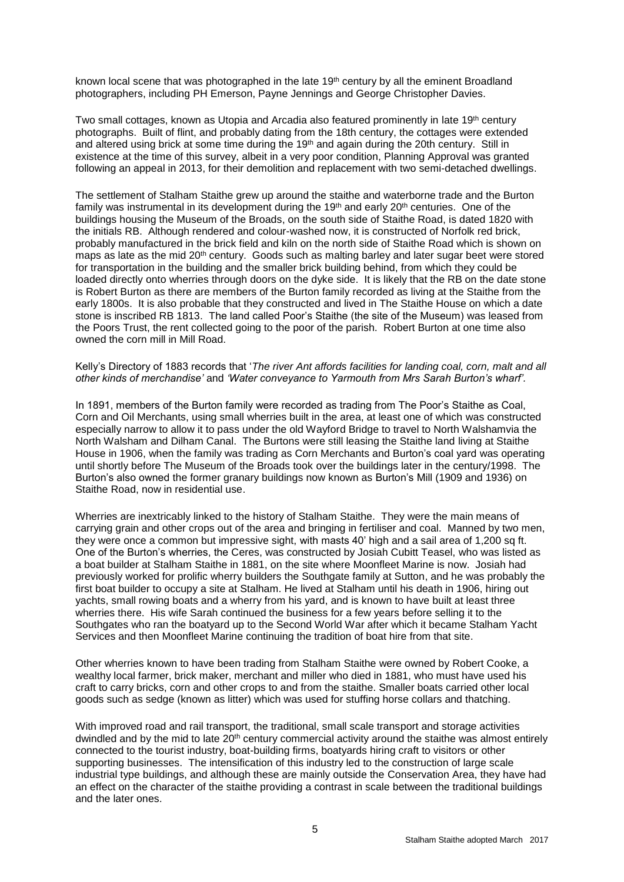known local scene that was photographed in the late 19<sup>th</sup> century by all the eminent Broadland photographers, including PH Emerson, Payne Jennings and George Christopher Davies.

Two small cottages, known as Utopia and Arcadia also featured prominently in late 19<sup>th</sup> century photographs. Built of flint, and probably dating from the 18th century, the cottages were extended and altered using brick at some time during the 19<sup>th</sup> and again during the 20th century. Still in existence at the time of this survey, albeit in a very poor condition, Planning Approval was granted following an appeal in 2013, for their demolition and replacement with two semi-detached dwellings.

The settlement of Stalham Staithe grew up around the staithe and waterborne trade and the Burton family was instrumental in its development during the 19<sup>th</sup> and early 20<sup>th</sup> centuries. One of the buildings housing the Museum of the Broads, on the south side of Staithe Road, is dated 1820 with the initials RB. Although rendered and colour-washed now, it is constructed of Norfolk red brick, probably manufactured in the brick field and kiln on the north side of Staithe Road which is shown on maps as late as the mid 20<sup>th</sup> century. Goods such as malting barley and later sugar beet were stored for transportation in the building and the smaller brick building behind, from which they could be loaded directly onto wherries through doors on the dyke side. It is likely that the RB on the date stone is Robert Burton as there are members of the Burton family recorded as living at the Staithe from the early 1800s. It is also probable that they constructed and lived in The Staithe House on which a date stone is inscribed RB 1813. The land called Poor's Staithe (the site of the Museum) was leased from the Poors Trust, the rent collected going to the poor of the parish. Robert Burton at one time also owned the corn mill in Mill Road.

Kelly's Directory of 1883 records that '*The river Ant affords facilities for landing coal, corn, malt and all other kinds of merchandise'* and *'Water conveyance to Yarmouth from Mrs Sarah Burton's wharf'.* 

In 1891, members of the Burton family were recorded as trading from The Poor's Staithe as Coal, Corn and Oil Merchants, using small wherries built in the area, at least one of which was constructed especially narrow to allow it to pass under the old Wayford Bridge to travel to North Walshamvia the North Walsham and Dilham Canal. The Burtons were still leasing the Staithe land living at Staithe House in 1906, when the family was trading as Corn Merchants and Burton's coal yard was operating until shortly before The Museum of the Broads took over the buildings later in the century/1998. The Burton's also owned the former granary buildings now known as Burton's Mill (1909 and 1936) on Staithe Road, now in residential use.

Wherries are inextricably linked to the history of Stalham Staithe.They were the main means of carrying grain and other crops out of the area and bringing in fertiliser and coal. Manned by two men, they were once a common but impressive sight, with masts 40' high and a sail area of 1,200 sq ft. One of the Burton's wherries, the Ceres, was constructed by Josiah Cubitt Teasel, who was listed as a boat builder at Stalham Staithe in 1881, on the site where Moonfleet Marine is now. Josiah had previously worked for prolific wherry builders the Southgate family at Sutton, and he was probably the first boat builder to occupy a site at Stalham. He lived at Stalham until his death in 1906, hiring out yachts, small rowing boats and a wherry from his yard, and is known to have built at least three wherries there. His wife Sarah continued the business for a few years before selling it to the Southgates who ran the boatyard up to the Second World War after which it became Stalham Yacht Services and then Moonfleet Marine continuing the tradition of boat hire from that site.

Other wherries known to have been trading from Stalham Staithe were owned by Robert Cooke, a wealthy local farmer, brick maker, merchant and miller who died in 1881, who must have used his craft to carry bricks, corn and other crops to and from the staithe. Smaller boats carried other local goods such as sedge (known as litter) which was used for stuffing horse collars and thatching.

With improved road and rail transport, the traditional, small scale transport and storage activities dwindled and by the mid to late 20<sup>th</sup> century commercial activity around the staithe was almost entirely connected to the tourist industry, boat-building firms, boatyards hiring craft to visitors or other supporting businesses. The intensification of this industry led to the construction of large scale industrial type buildings, and although these are mainly outside the Conservation Area, they have had an effect on the character of the staithe providing a contrast in scale between the traditional buildings and the later ones.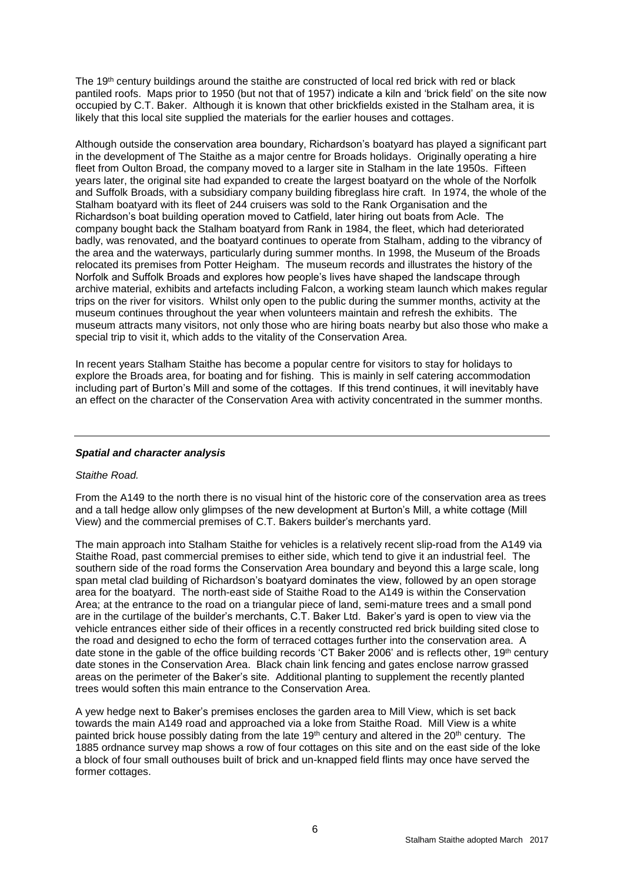The 19<sup>th</sup> century buildings around the staithe are constructed of local red brick with red or black pantiled roofs. Maps prior to 1950 (but not that of 1957) indicate a kiln and 'brick field' on the site now occupied by C.T. Baker. Although it is known that other brickfields existed in the Stalham area, it is likely that this local site supplied the materials for the earlier houses and cottages.

Although outside the conservation area boundary, Richardson's boatyard has played a significant part in the development of The Staithe as a major centre for Broads holidays. Originally operating a hire fleet from Oulton Broad, the company moved to a larger site in Stalham in the late 1950s. Fifteen years later, the original site had expanded to create the largest boatyard on the whole of the Norfolk and Suffolk Broads, with a subsidiary company building fibreglass hire craft. In 1974, the whole of the Stalham boatyard with its fleet of 244 cruisers was sold to the Rank Organisation and the Richardson's boat building operation moved to Catfield, later hiring out boats from Acle. The company bought back the Stalham boatyard from Rank in 1984, the fleet, which had deteriorated badly, was renovated, and the boatyard continues to operate from Stalham, adding to the vibrancy of the area and the waterways, particularly during summer months. In 1998, the Museum of the Broads relocated its premises from Potter Heigham. The museum records and illustrates the history of the Norfolk and Suffolk Broads and explores how people's lives have shaped the landscape through archive material, exhibits and artefacts including Falcon, a working steam launch which makes regular trips on the river for visitors. Whilst only open to the public during the summer months, activity at the museum continues throughout the year when volunteers maintain and refresh the exhibits. The museum attracts many visitors, not only those who are hiring boats nearby but also those who make a special trip to visit it, which adds to the vitality of the Conservation Area.

In recent years Stalham Staithe has become a popular centre for visitors to stay for holidays to explore the Broads area, for boating and for fishing. This is mainly in self catering accommodation including part of Burton's Mill and some of the cottages. If this trend continues, it will inevitably have an effect on the character of the Conservation Area with activity concentrated in the summer months.

#### *Spatial and character analysis*

#### *Staithe Road.*

From the A149 to the north there is no visual hint of the historic core of the conservation area as trees and a tall hedge allow only glimpses of the new development at Burton's Mill, a white cottage (Mill View) and the commercial premises of C.T. Bakers builder's merchants yard.

The main approach into Stalham Staithe for vehicles is a relatively recent slip-road from the A149 via Staithe Road, past commercial premises to either side, which tend to give it an industrial feel. The southern side of the road forms the Conservation Area boundary and beyond this a large scale, long span metal clad building of Richardson's boatyard dominates the view, followed by an open storage area for the boatyard. The north-east side of Staithe Road to the A149 is within the Conservation Area; at the entrance to the road on a triangular piece of land, semi-mature trees and a small pond are in the curtilage of the builder's merchants, C.T. Baker Ltd. Baker's yard is open to view via the vehicle entrances either side of their offices in a recently constructed red brick building sited close to the road and designed to echo the form of terraced cottages further into the conservation area. A date stone in the gable of the office building records 'CT Baker 2006' and is reflects other, 19th century date stones in the Conservation Area. Black chain link fencing and gates enclose narrow grassed areas on the perimeter of the Baker's site. Additional planting to supplement the recently planted trees would soften this main entrance to the Conservation Area.

A yew hedge next to Baker's premises encloses the garden area to Mill View, which is set back towards the main A149 road and approached via a loke from Staithe Road. Mill View is a white painted brick house possibly dating from the late 19<sup>th</sup> century and altered in the 20<sup>th</sup> century. The 1885 ordnance survey map shows a row of four cottages on this site and on the east side of the loke a block of four small outhouses built of brick and un-knapped field flints may once have served the former cottages.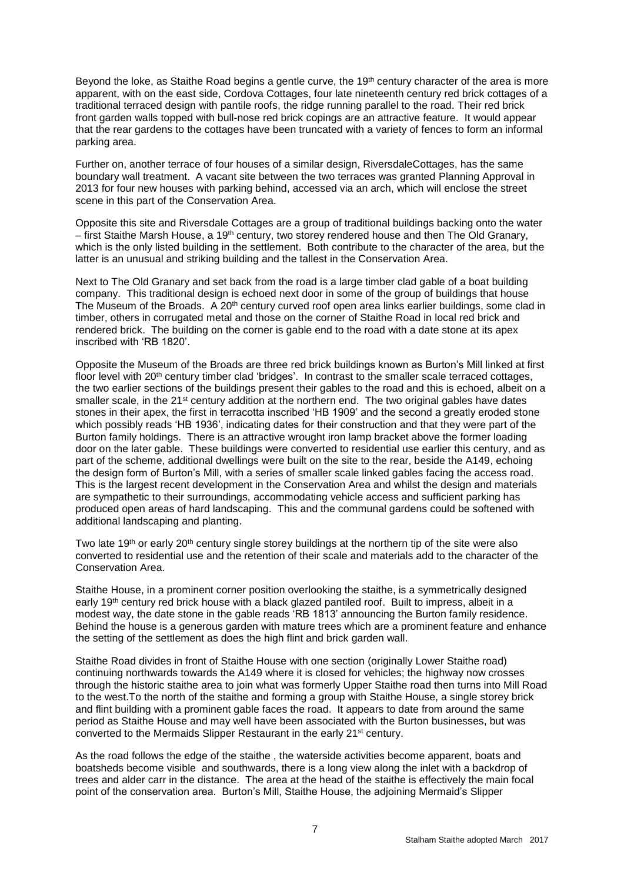Beyond the loke, as Staithe Road begins a gentle curve, the 19<sup>th</sup> century character of the area is more apparent, with on the east side, Cordova Cottages, four late nineteenth century red brick cottages of a traditional terraced design with pantile roofs, the ridge running parallel to the road. Their red brick front garden walls topped with bull-nose red brick copings are an attractive feature. It would appear that the rear gardens to the cottages have been truncated with a variety of fences to form an informal parking area.

Further on, another terrace of four houses of a similar design, RiversdaleCottages, has the same boundary wall treatment. A vacant site between the two terraces was granted Planning Approval in 2013 for four new houses with parking behind, accessed via an arch, which will enclose the street scene in this part of the Conservation Area.

Opposite this site and Riversdale Cottages are a group of traditional buildings backing onto the water  $-$  first Staithe Marsh House, a 19<sup>th</sup> century, two storey rendered house and then The Old Granary, which is the only listed building in the settlement. Both contribute to the character of the area, but the latter is an unusual and striking building and the tallest in the Conservation Area.

Next to The Old Granary and set back from the road is a large timber clad gable of a boat building company. This traditional design is echoed next door in some of the group of buildings that house The Museum of the Broads. A 20<sup>th</sup> century curved roof open area links earlier buildings, some clad in timber, others in corrugated metal and those on the corner of Staithe Road in local red brick and rendered brick. The building on the corner is gable end to the road with a date stone at its apex inscribed with 'RB 1820'.

Opposite the Museum of the Broads are three red brick buildings known as Burton's Mill linked at first floor level with 20<sup>th</sup> century timber clad 'bridges'. In contrast to the smaller scale terraced cottages, the two earlier sections of the buildings present their gables to the road and this is echoed, albeit on a smaller scale, in the 21<sup>st</sup> century addition at the northern end. The two original gables have dates stones in their apex, the first in terracotta inscribed 'HB 1909' and the second a greatly eroded stone which possibly reads 'HB 1936', indicating dates for their construction and that they were part of the Burton family holdings. There is an attractive wrought iron lamp bracket above the former loading door on the later gable. These buildings were converted to residential use earlier this century, and as part of the scheme, additional dwellings were built on the site to the rear, beside the A149, echoing the design form of Burton's Mill, with a series of smaller scale linked gables facing the access road. This is the largest recent development in the Conservation Area and whilst the design and materials are sympathetic to their surroundings, accommodating vehicle access and sufficient parking has produced open areas of hard landscaping. This and the communal gardens could be softened with additional landscaping and planting.

Two late 19<sup>th</sup> or early 20<sup>th</sup> century single storey buildings at the northern tip of the site were also converted to residential use and the retention of their scale and materials add to the character of the Conservation Area.

Staithe House, in a prominent corner position overlooking the staithe, is a symmetrically designed early 19<sup>th</sup> century red brick house with a black glazed pantiled roof. Built to impress, albeit in a modest way, the date stone in the gable reads 'RB 1813' announcing the Burton family residence. Behind the house is a generous garden with mature trees which are a prominent feature and enhance the setting of the settlement as does the high flint and brick garden wall.

Staithe Road divides in front of Staithe House with one section (originally Lower Staithe road) continuing northwards towards the A149 where it is closed for vehicles; the highway now crosses through the historic staithe area to join what was formerly Upper Staithe road then turns into Mill Road to the west.To the north of the staithe and forming a group with Staithe House, a single storey brick and flint building with a prominent gable faces the road. It appears to date from around the same period as Staithe House and may well have been associated with the Burton businesses, but was converted to the Mermaids Slipper Restaurant in the early 21st century.

As the road follows the edge of the staithe , the waterside activities become apparent, boats and boatsheds become visible and southwards, there is a long view along the inlet with a backdrop of trees and alder carr in the distance. The area at the head of the staithe is effectively the main focal point of the conservation area. Burton's Mill, Staithe House, the adjoining Mermaid's Slipper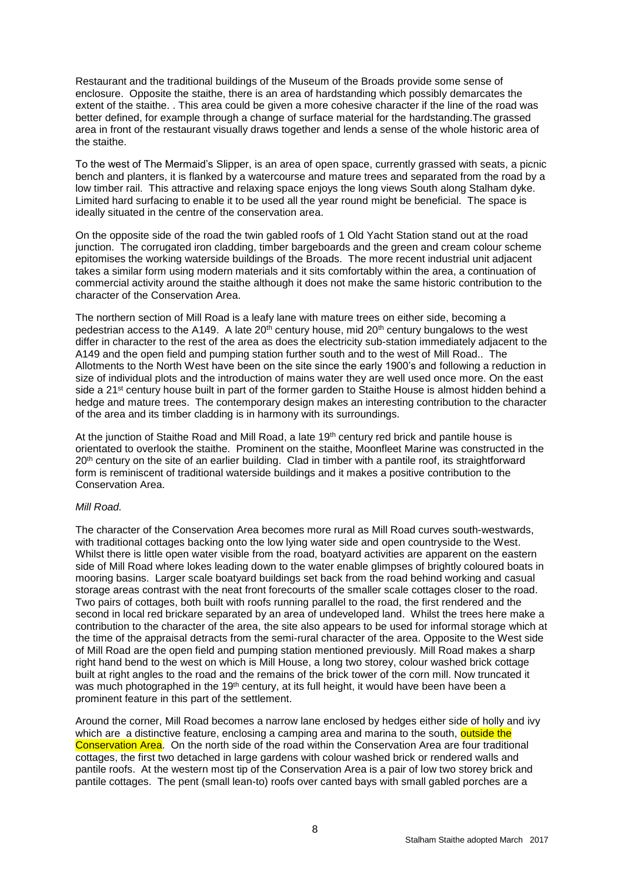Restaurant and the traditional buildings of the Museum of the Broads provide some sense of enclosure. Opposite the staithe, there is an area of hardstanding which possibly demarcates the extent of the staithe. . This area could be given a more cohesive character if the line of the road was better defined, for example through a change of surface material for the hardstanding.The grassed area in front of the restaurant visually draws together and lends a sense of the whole historic area of the staithe.

To the west of The Mermaid's Slipper, is an area of open space, currently grassed with seats, a picnic bench and planters, it is flanked by a watercourse and mature trees and separated from the road by a low timber rail. This attractive and relaxing space enjoys the long views South along Stalham dyke. Limited hard surfacing to enable it to be used all the year round might be beneficial. The space is ideally situated in the centre of the conservation area.

On the opposite side of the road the twin gabled roofs of 1 Old Yacht Station stand out at the road junction. The corrugated iron cladding, timber bargeboards and the green and cream colour scheme epitomises the working waterside buildings of the Broads. The more recent industrial unit adjacent takes a similar form using modern materials and it sits comfortably within the area, a continuation of commercial activity around the staithe although it does not make the same historic contribution to the character of the Conservation Area.

The northern section of Mill Road is a leafy lane with mature trees on either side, becoming a pedestrian access to the A149. A late  $20<sup>th</sup>$  century house, mid  $20<sup>th</sup>$  century bungalows to the west differ in character to the rest of the area as does the electricity sub-station immediately adjacent to the A149 and the open field and pumping station further south and to the west of Mill Road.. The Allotments to the North West have been on the site since the early 1900's and following a reduction in size of individual plots and the introduction of mains water they are well used once more. On the east side a 21<sup>st</sup> century house built in part of the former garden to Staithe House is almost hidden behind a hedge and mature trees. The contemporary design makes an interesting contribution to the character of the area and its timber cladding is in harmony with its surroundings.

At the junction of Staithe Road and Mill Road, a late 19<sup>th</sup> century red brick and pantile house is orientated to overlook the staithe. Prominent on the staithe, Moonfleet Marine was constructed in the 20<sup>th</sup> century on the site of an earlier building. Clad in timber with a pantile roof, its straightforward form is reminiscent of traditional waterside buildings and it makes a positive contribution to the Conservation Area.

#### *Mill Road.*

The character of the Conservation Area becomes more rural as Mill Road curves south-westwards, with traditional cottages backing onto the low lying water side and open countryside to the West. Whilst there is little open water visible from the road, boatyard activities are apparent on the eastern side of Mill Road where lokes leading down to the water enable glimpses of brightly coloured boats in mooring basins. Larger scale boatyard buildings set back from the road behind working and casual storage areas contrast with the neat front forecourts of the smaller scale cottages closer to the road. Two pairs of cottages, both built with roofs running parallel to the road, the first rendered and the second in local red brickare separated by an area of undeveloped land. Whilst the trees here make a contribution to the character of the area, the site also appears to be used for informal storage which at the time of the appraisal detracts from the semi-rural character of the area. Opposite to the West side of Mill Road are the open field and pumping station mentioned previously. Mill Road makes a sharp right hand bend to the west on which is Mill House, a long two storey, colour washed brick cottage built at right angles to the road and the remains of the brick tower of the corn mill. Now truncated it was much photographed in the 19<sup>th</sup> century, at its full height, it would have been have been a prominent feature in this part of the settlement.

Around the corner, Mill Road becomes a narrow lane enclosed by hedges either side of holly and ivy which are a distinctive feature, enclosing a camping area and marina to the south, outside the Conservation Area. On the north side of the road within the Conservation Area are four traditional cottages, the first two detached in large gardens with colour washed brick or rendered walls and pantile roofs. At the western most tip of the Conservation Area is a pair of low two storey brick and pantile cottages. The pent (small lean-to) roofs over canted bays with small gabled porches are a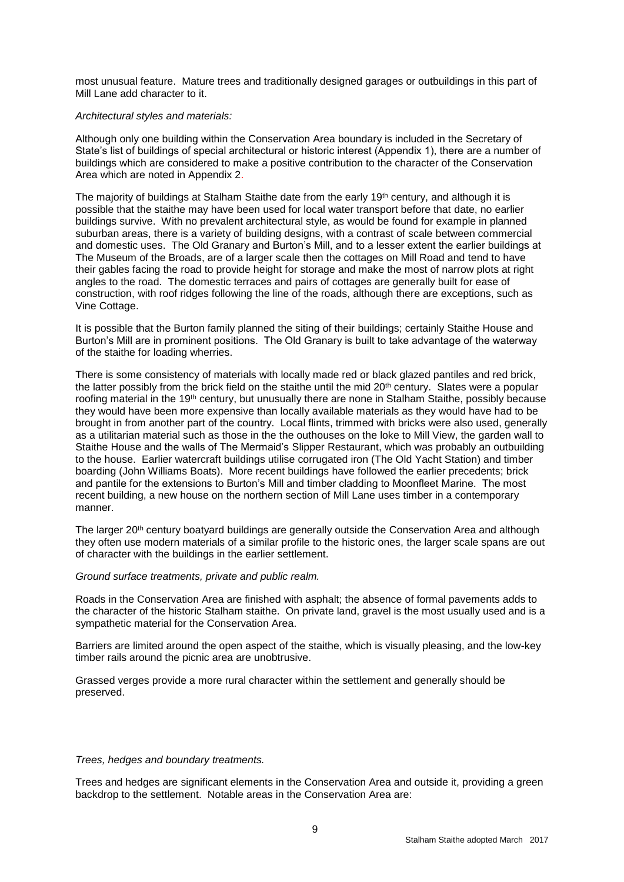most unusual feature. Mature trees and traditionally designed garages or outbuildings in this part of Mill Lane add character to it.

#### *Architectural styles and materials:*

Although only one building within the Conservation Area boundary is included in the Secretary of State's list of buildings of special architectural or historic interest (Appendix 1), there are a number of buildings which are considered to make a positive contribution to the character of the Conservation Area which are noted in Appendix 2.

The majority of buildings at Stalham Staithe date from the early 19<sup>th</sup> century, and although it is possible that the staithe may have been used for local water transport before that date, no earlier buildings survive. With no prevalent architectural style, as would be found for example in planned suburban areas, there is a variety of building designs, with a contrast of scale between commercial and domestic uses. The Old Granary and Burton's Mill, and to a lesser extent the earlier buildings at The Museum of the Broads, are of a larger scale then the cottages on Mill Road and tend to have their gables facing the road to provide height for storage and make the most of narrow plots at right angles to the road. The domestic terraces and pairs of cottages are generally built for ease of construction, with roof ridges following the line of the roads, although there are exceptions, such as Vine Cottage.

It is possible that the Burton family planned the siting of their buildings; certainly Staithe House and Burton's Mill are in prominent positions. The Old Granary is built to take advantage of the waterway of the staithe for loading wherries.

There is some consistency of materials with locally made red or black glazed pantiles and red brick, the latter possibly from the brick field on the staithe until the mid 20<sup>th</sup> century. Slates were a popular roofing material in the 19th century, but unusually there are none in Stalham Staithe, possibly because they would have been more expensive than locally available materials as they would have had to be brought in from another part of the country. Local flints, trimmed with bricks were also used, generally as a utilitarian material such as those in the the outhouses on the loke to Mill View, the garden wall to Staithe House and the walls of The Mermaid's Slipper Restaurant, which was probably an outbuilding to the house. Earlier watercraft buildings utilise corrugated iron (The Old Yacht Station) and timber boarding (John Williams Boats). More recent buildings have followed the earlier precedents; brick and pantile for the extensions to Burton's Mill and timber cladding to Moonfleet Marine. The most recent building, a new house on the northern section of Mill Lane uses timber in a contemporary manner.

The larger 20<sup>th</sup> century boatyard buildings are generally outside the Conservation Area and although they often use modern materials of a similar profile to the historic ones, the larger scale spans are out of character with the buildings in the earlier settlement.

#### *Ground surface treatments, private and public realm.*

Roads in the Conservation Area are finished with asphalt; the absence of formal pavements adds to the character of the historic Stalham staithe. On private land, gravel is the most usually used and is a sympathetic material for the Conservation Area.

Barriers are limited around the open aspect of the staithe, which is visually pleasing, and the low-key timber rails around the picnic area are unobtrusive.

Grassed verges provide a more rural character within the settlement and generally should be preserved.

#### *Trees, hedges and boundary treatments.*

Trees and hedges are significant elements in the Conservation Area and outside it, providing a green backdrop to the settlement. Notable areas in the Conservation Area are: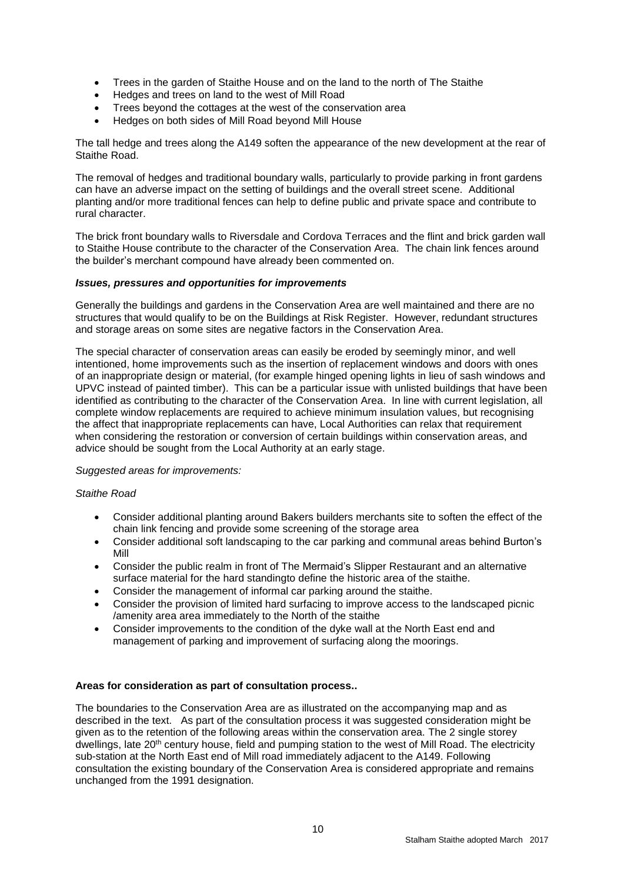- Trees in the garden of Staithe House and on the land to the north of The Staithe
- Hedges and trees on land to the west of Mill Road
- Trees beyond the cottages at the west of the conservation area
- Hedges on both sides of Mill Road beyond Mill House

The tall hedge and trees along the A149 soften the appearance of the new development at the rear of Staithe Road.

The removal of hedges and traditional boundary walls, particularly to provide parking in front gardens can have an adverse impact on the setting of buildings and the overall street scene. Additional planting and/or more traditional fences can help to define public and private space and contribute to rural character.

The brick front boundary walls to Riversdale and Cordova Terraces and the flint and brick garden wall to Staithe House contribute to the character of the Conservation Area. The chain link fences around the builder's merchant compound have already been commented on.

#### *Issues, pressures and opportunities for improvements*

Generally the buildings and gardens in the Conservation Area are well maintained and there are no structures that would qualify to be on the Buildings at Risk Register. However, redundant structures and storage areas on some sites are negative factors in the Conservation Area.

The special character of conservation areas can easily be eroded by seemingly minor, and well intentioned, home improvements such as the insertion of replacement windows and doors with ones of an inappropriate design or material, (for example hinged opening lights in lieu of sash windows and UPVC instead of painted timber). This can be a particular issue with unlisted buildings that have been identified as contributing to the character of the Conservation Area. In line with current legislation, all complete window replacements are required to achieve minimum insulation values, but recognising the affect that inappropriate replacements can have, Local Authorities can relax that requirement when considering the restoration or conversion of certain buildings within conservation areas, and advice should be sought from the Local Authority at an early stage.

#### *Suggested areas for improvements:*

#### *Staithe Road*

- Consider additional planting around Bakers builders merchants site to soften the effect of the chain link fencing and provide some screening of the storage area
- Consider additional soft landscaping to the car parking and communal areas behind Burton's Mill
- Consider the public realm in front of The Mermaid's Slipper Restaurant and an alternative surface material for the hard standingto define the historic area of the staithe.
- Consider the management of informal car parking around the staithe.
- Consider the provision of limited hard surfacing to improve access to the landscaped picnic /amenity area area immediately to the North of the staithe
- Consider improvements to the condition of the dyke wall at the North East end and management of parking and improvement of surfacing along the moorings.

#### **Areas for consideration as part of consultation process..**

The boundaries to the Conservation Area are as illustrated on the accompanying map and as described in the text. As part of the consultation process it was suggested consideration might be given as to the retention of the following areas within the conservation area. The 2 single storey dwellings, late 20<sup>th</sup> century house, field and pumping station to the west of Mill Road. The electricity sub-station at the North East end of Mill road immediately adjacent to the A149. Following consultation the existing boundary of the Conservation Area is considered appropriate and remains unchanged from the 1991 designation.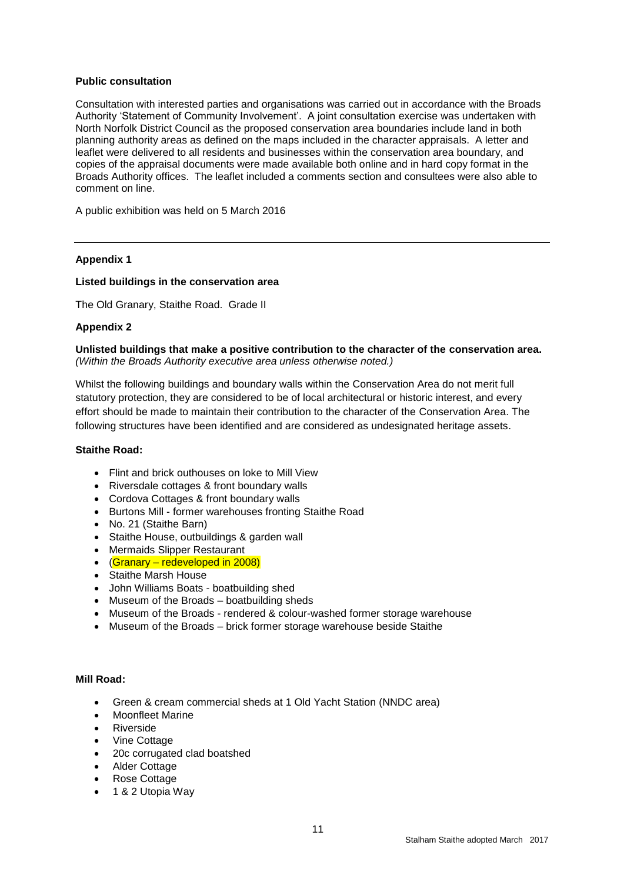## **Public consultation**

Consultation with interested parties and organisations was carried out in accordance with the Broads Authority 'Statement of Community Involvement'. A joint consultation exercise was undertaken with North Norfolk District Council as the proposed conservation area boundaries include land in both planning authority areas as defined on the maps included in the character appraisals. A letter and leaflet were delivered to all residents and businesses within the conservation area boundary, and copies of the appraisal documents were made available both online and in hard copy format in the Broads Authority offices. The leaflet included a comments section and consultees were also able to comment on line.

A public exhibition was held on 5 March 2016

## **Appendix 1**

#### **Listed buildings in the conservation area**

The Old Granary, Staithe Road. Grade II

## **Appendix 2**

**Unlisted buildings that make a positive contribution to the character of the conservation area.** *(Within the Broads Authority executive area unless otherwise noted.)*

Whilst the following buildings and boundary walls within the Conservation Area do not merit full statutory protection, they are considered to be of local architectural or historic interest, and every effort should be made to maintain their contribution to the character of the Conservation Area. The following structures have been identified and are considered as undesignated heritage assets.

#### **Staithe Road:**

- Flint and brick outhouses on loke to Mill View
- Riversdale cottages & front boundary walls
- Cordova Cottages & front boundary walls
- Burtons Mill former warehouses fronting Staithe Road
- No. 21 (Staithe Barn)
- Staithe House, outbuildings & garden wall
- Mermaids Slipper Restaurant
- (Granary redeveloped in 2008)
- Staithe Marsh House
- John Williams Boats boatbuilding shed
- Museum of the Broads boatbuilding sheds
- Museum of the Broads rendered & colour-washed former storage warehouse
- Museum of the Broads brick former storage warehouse beside Staithe

#### **Mill Road:**

- Green & cream commercial sheds at 1 Old Yacht Station (NNDC area)
- Moonfleet Marine
- **•** Riverside
- Vine Cottage
- 20c corrugated clad boatshed
- Alder Cottage
- Rose Cottage
- 1 & 2 Utopia Way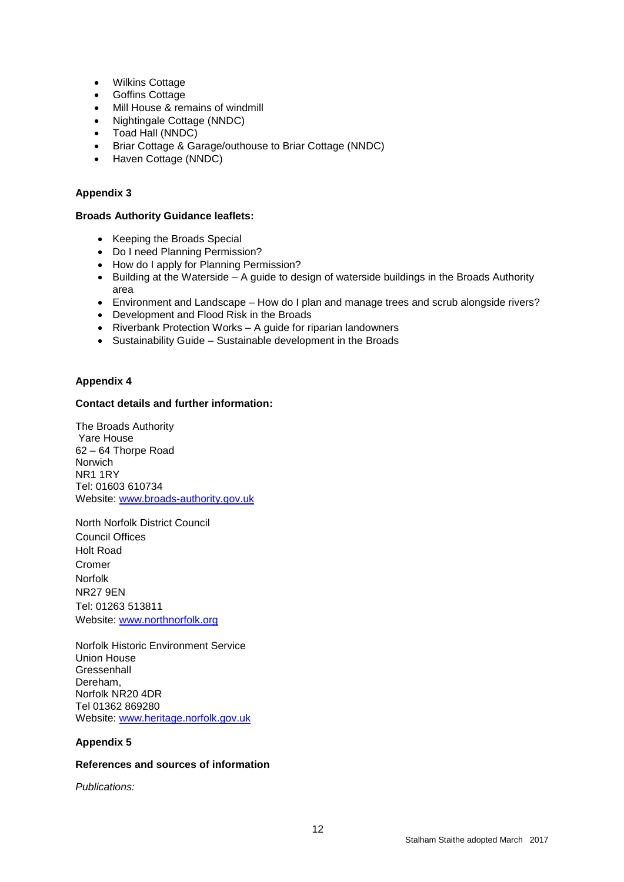- Wilkins Cottage
- Goffins Cottage
- Mill House & remains of windmill
- Nightingale Cottage (NNDC)
- Toad Hall (NNDC)
- Briar Cottage & Garage/outhouse to Briar Cottage (NNDC)
- Haven Cottage (NNDC)

## **Appendix 3**

## **Broads Authority Guidance leaflets:**

- Keeping the Broads Special
- Do I need Planning Permission?
- How do I apply for Planning Permission?
- Building at the Waterside A guide to design of waterside buildings in the Broads Authority area
- Environment and Landscape How do I plan and manage trees and scrub alongside rivers?
- Development and Flood Risk in the Broads
- Riverbank Protection Works A guide for riparian landowners
- Sustainability Guide Sustainable development in the Broads

## **Appendix 4**

## **Contact details and further information:**

The Broads Authority Yare House 62 – 64 Thorpe Road Norwich NR1 1RY Tel: 01603 610734 Website: [www.broads-authority.gov.uk](http://www.broads-authority.gov.uk/)

North Norfolk District Council Council Offices Holt Road Cromer Norfolk NR27 9EN Tel: 01263 513811 Website: [www.northnorfolk.org](http://www.northnorfolk.org/)

Norfolk Historic Environment Service Union House **Gressenhall** Dereham, Norfolk NR20 4DR Tel 01362 869280 Website: [www.heritage.norfolk.gov.uk](http://www.heritage.norfolk.gov.uk/)

## **Appendix 5**

## **References and sources of information**

*Publications:*